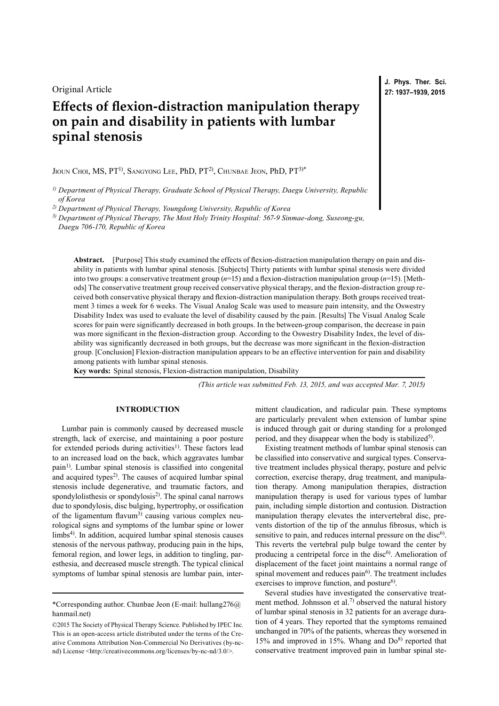Original Article

# **Effects of flexion-distraction manipulation therapy on pain and disability in patients with lumbar spinal stenosis**

JIOUN CHOI, MS, PT<sup>1)</sup>, SANGYONG LEE, PhD, PT<sup>2)</sup>, CHUNBAE JEON, PhD, PT<sup>3)\*</sup>

*1) Department of Physical Therapy, Graduate School of Physical Therapy, Daegu University, Republic of Korea*

*2) Department of Physical Therapy, Youngdong University, Republic of Korea*

*3) Department of Physical Therapy, The Most Holy Trinity Hospital: 567-9 Sinmae-dong, Suseong-gu, Daegu 706-170, Republic of Korea*

Abstract. [Purpose] This study examined the effects of flexion-distraction manipulation therapy on pain and disability in patients with lumbar spinal stenosis. [Subjects] Thirty patients with lumbar spinal stenosis were divided into two groups: a conservative treatment group (*n*=15) and a flexion-distraction manipulation group (*n*=15). [Methods] The conservative treatment group received conservative physical therapy, and the flexion-distraction group received both conservative physical therapy and flexion-distraction manipulation therapy. Both groups received treatment 3 times a week for 6 weeks. The Visual Analog Scale was used to measure pain intensity, and the Oswestry Disability Index was used to evaluate the level of disability caused by the pain. [Results] The Visual Analog Scale scores for pain were significantly decreased in both groups. In the between-group comparison, the decrease in pain was more significant in the flexion-distraction group. According to the Oswestry Disability Index, the level of disability was significantly decreased in both groups, but the decrease was more significant in the flexion-distraction group. [Conclusion] Flexion-distraction manipulation appears to be an effective intervention for pain and disability among patients with lumbar spinal stenosis.

**Key words:** Spinal stenosis, Flexion-distraction manipulation, Disability

*(This article was submitted Feb. 13, 2015, and was accepted Mar. 7, 2015)*

## **INTRODUCTION**

Lumbar pain is commonly caused by decreased muscle strength, lack of exercise, and maintaining a poor posture for extended periods during activities<sup>[1\)](#page-2-0)</sup>. These factors lead to an increased load on the back, which aggravates lumbar pain<sup>[1](#page-2-0))</sup>. Lumbar spinal stenosis is classified into congenital and acquired types<sup>[2](#page-2-1))</sup>. The causes of acquired lumbar spinal stenosis include degenerative, and traumatic factors, and spondylolisthesis or spondylosis<sup>[2\)](#page-2-1)</sup>. The spinal canal narrows due to spondylosis, disc bulging, hypertrophy, or ossification of the ligamentum flavum<sup>[3\)](#page-2-2)</sup> causing various complex neurological signs and symptoms of the lumbar spine or lower limbs<sup>[4\)](#page-2-3)</sup>. In addition, acquired lumbar spinal stenosis causes stenosis of the nervous pathway, producing pain in the hips, femoral region, and lower legs, in addition to tingling, paresthesia, and decreased muscle strength. The typical clinical symptoms of lumbar spinal stenosis are lumbar pain, intermittent claudication, and radicular pain. These symptoms are particularly prevalent when extension of lumbar spine is induced through gait or during standing for a prolonged period, and they disappear when the body is stabilized<sup>[5](#page-2-4))</sup>.

Existing treatment methods of lumbar spinal stenosis can be classified into conservative and surgical types. Conservative treatment includes physical therapy, posture and pelvic correction, exercise therapy, drug treatment, and manipulation therapy. Among manipulation therapies, distraction manipulation therapy is used for various types of lumbar pain, including simple distortion and contusion. Distraction manipulation therapy elevates the intervertebral disc, prevents distortion of the tip of the annulus fibrosus, which is sensitive to pain, and reduces internal pressure on the disc<sup>6)</sup>. This reverts the vertebral pulp bulge toward the center by producing a centripetal force in the disc<sup>[6](#page-2-5))</sup>. Amelioration of displacement of the facet joint maintains a normal range of spinal movement and reduces pain<sup>[6](#page-2-5))</sup>. The treatment includes exercises to improve function, and posture<sup>6)</sup>.

Several studies have investigated the conservative treat-ment method. Johnsson et al.<sup>[7](#page-2-6))</sup> observed the natural history of lumbar spinal stenosis in 32 patients for an average duration of 4 years. They reported that the symptoms remained unchanged in 70% of the patients, whereas they worsened in 15% and improved in 15%. Whang and  $Do^{8}$  $Do^{8}$  $Do^{8}$  reported that conservative treatment improved pain in lumbar spinal ste-

<sup>\*</sup>Corresponding author. Chunbae Jeon (E-mail: hullang276@ hanmail.net)

<sup>©2015</sup> The Society of Physical Therapy Science. Published by IPEC Inc. This is an open-access article distributed under the terms of the Creative Commons Attribution Non-Commercial No Derivatives (by-ncnd) License [<http://creativecommons.org/licenses/by-nc-nd/3.0/>](http://creativecommons.org/licenses/by-nc-nd/3.0/).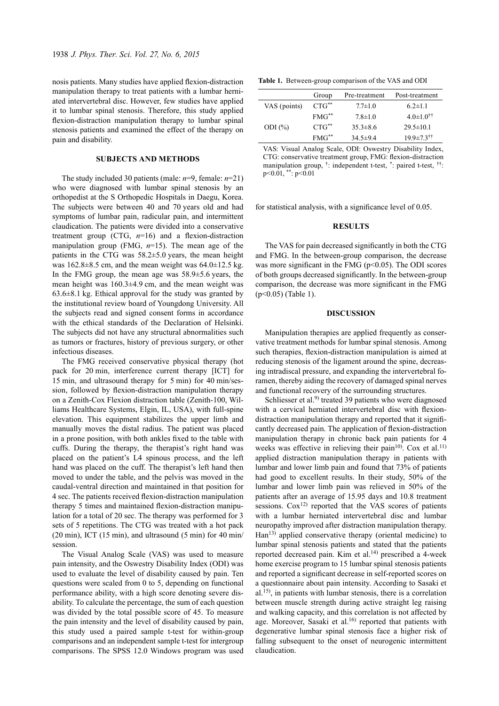nosis patients. Many studies have applied flexion-distraction manipulation therapy to treat patients with a lumbar herniated intervertebral disc. However, few studies have applied it to lumbar spinal stenosis. Therefore, this study applied flexion-distraction manipulation therapy to lumbar spinal stenosis patients and examined the effect of the therapy on pain and disability.

### **SUBJECTS AND METHODS**

The study included 30 patients (male: *n*=9, female: *n*=21) who were diagnosed with lumbar spinal stenosis by an orthopedist at the S Orthopedic Hospitals in Daegu, Korea. The subjects were between 40 and 70 years old and had symptoms of lumbar pain, radicular pain, and intermittent claudication. The patients were divided into a conservative treatment group (CTG, *n*=16) and a flexion-distraction manipulation group (FMG, *n*=15). The mean age of the patients in the CTG was 58.2±5.0 years, the mean height was  $162.8\pm8.5$  cm, and the mean weight was  $64.0\pm12.5$  kg. In the FMG group, the mean age was 58.9±5.6 years, the mean height was 160.3±4.9 cm, and the mean weight was  $63.6\pm8.1$  kg. Ethical approval for the study was granted by the institutional review board of Youngdong University. All the subjects read and signed consent forms in accordance with the ethical standards of the Declaration of Helsinki. The subjects did not have any structural abnormalities such as tumors or fractures, history of previous surgery, or other infectious diseases.

The FMG received conservative physical therapy (hot pack for 20 min, interference current therapy [ICT] for 15 min, and ultrasound therapy for 5 min) for 40 min/session, followed by flexion-distraction manipulation therapy on a Zenith-Cox Flexion distraction table (Zenith-100, Williams Healthcare Systems, Elgin, IL, USA), with full-spine elevation. This equipment stabilizes the upper limb and manually moves the distal radius. The patient was placed in a prone position, with both ankles fixed to the table with cuffs. During the therapy, the therapist's right hand was placed on the patient's L4 spinous process, and the left hand was placed on the cuff. The therapist's left hand then moved to under the table, and the pelvis was moved in the caudal-ventral direction and maintained in that position for 4 sec. The patients received flexion-distraction manipulation therapy 5 times and maintained flexion-distraction manipulation for a total of 20 sec. The therapy was performed for 3 sets of 5 repetitions. The CTG was treated with a hot pack (20 min), ICT (15 min), and ultrasound (5 min) for 40 min/ session.

The Visual Analog Scale (VAS) was used to measure pain intensity, and the Oswestry Disability Index (ODI) was used to evaluate the level of disability caused by pain. Ten questions were scaled from 0 to 5, depending on functional performance ability, with a high score denoting severe disability. To calculate the percentage, the sum of each question was divided by the total possible score of 45. To measure the pain intensity and the level of disability caused by pain, this study used a paired sample t-test for within-group comparisons and an independent sample t-test for intergroup comparisons. The SPSS 12.0 Windows program was used

**Table 1.** Between-group comparison of the VAS and ODI

|              | Group      | Pre-treatment  | Post-treatment               |
|--------------|------------|----------------|------------------------------|
| VAS (points) | $CTG^{**}$ | $7.7 \pm 1.0$  | $6.2 \pm 1.1$                |
|              | $FMG^{**}$ | $7.8 \pm 1.0$  | $4.0 \pm 1.0$ <sup>††</sup>  |
| ODI $(\% )$  | $CTG^{**}$ | $35.3\pm8.6$   | $29.5 \pm 10.1$              |
|              | $FMG^{**}$ | $34.5 \pm 9.4$ | $19.9 \pm 7.3$ <sup>††</sup> |

VAS: Visual Analog Scale, ODI: Oswestry Disability Index, CTG: conservative treatment group, FMG: flexion-distraction manipulation group, †: independent t-test, \*: paired t-test, ††: p<0.01, \*\*: p<0.01

for statistical analysis, with a significance level of 0.05.

## **RESULTS**

The VAS for pain decreased significantly in both the CTG and FMG. In the between-group comparison, the decrease was more significant in the FMG ( $p<0.05$ ). The ODI scores of both groups decreased significantly. In the between-group comparison, the decrease was more significant in the FMG (p<0.05) (Table 1).

#### **DISCUSSION**

Manipulation therapies are applied frequently as conservative treatment methods for lumbar spinal stenosis. Among such therapies, flexion-distraction manipulation is aimed at reducing stenosis of the ligament around the spine, decreasing intradiscal pressure, and expanding the intervertebral foramen, thereby aiding the recovery of damaged spinal nerves and functional recovery of the surrounding structures.

Schliesser et al.<sup>[9\)](#page-2-8)</sup> treated 39 patients who were diagnosed with a cervical herniated intervertebral disc with flexiondistraction manipulation therapy and reported that it significantly decreased pain. The application of flexion-distraction manipulation therapy in chronic back pain patients for 4 weeks was effective in relieving their pain<sup>10</sup>. Cox et al.<sup>11</sup> applied distraction manipulation therapy in patients with lumbar and lower limb pain and found that 73% of patients had good to excellent results. In their study, 50% of the lumbar and lower limb pain was relieved in 50% of the patients after an average of 15.95 days and 10.8 treatment sessions.  $Cox<sup>12</sup>$  reported that the VAS scores of patients with a lumbar herniated intervertebral disc and lumbar neuropathy improved after distraction manipulation therapy. Han[13](#page-2-12)) applied conservative therapy (oriental medicine) to lumbar spinal stenosis patients and stated that the patients reported decreased pain. Kim et al.[14\)](#page-2-13) prescribed a 4-week home exercise program to 15 lumbar spinal stenosis patients and reported a significant decrease in self-reported scores on a questionnaire about pain intensity. According to Sasaki et al.[15\)](#page-2-14) , in patients with lumbar stenosis, there is a correlation between muscle strength during active straight leg raising and walking capacity, and this correlation is not affected by age. Moreover, Sasaki et al.<sup>16)</sup> reported that patients with degenerative lumbar spinal stenosis face a higher risk of falling subsequent to the onset of neurogenic intermittent claudication.